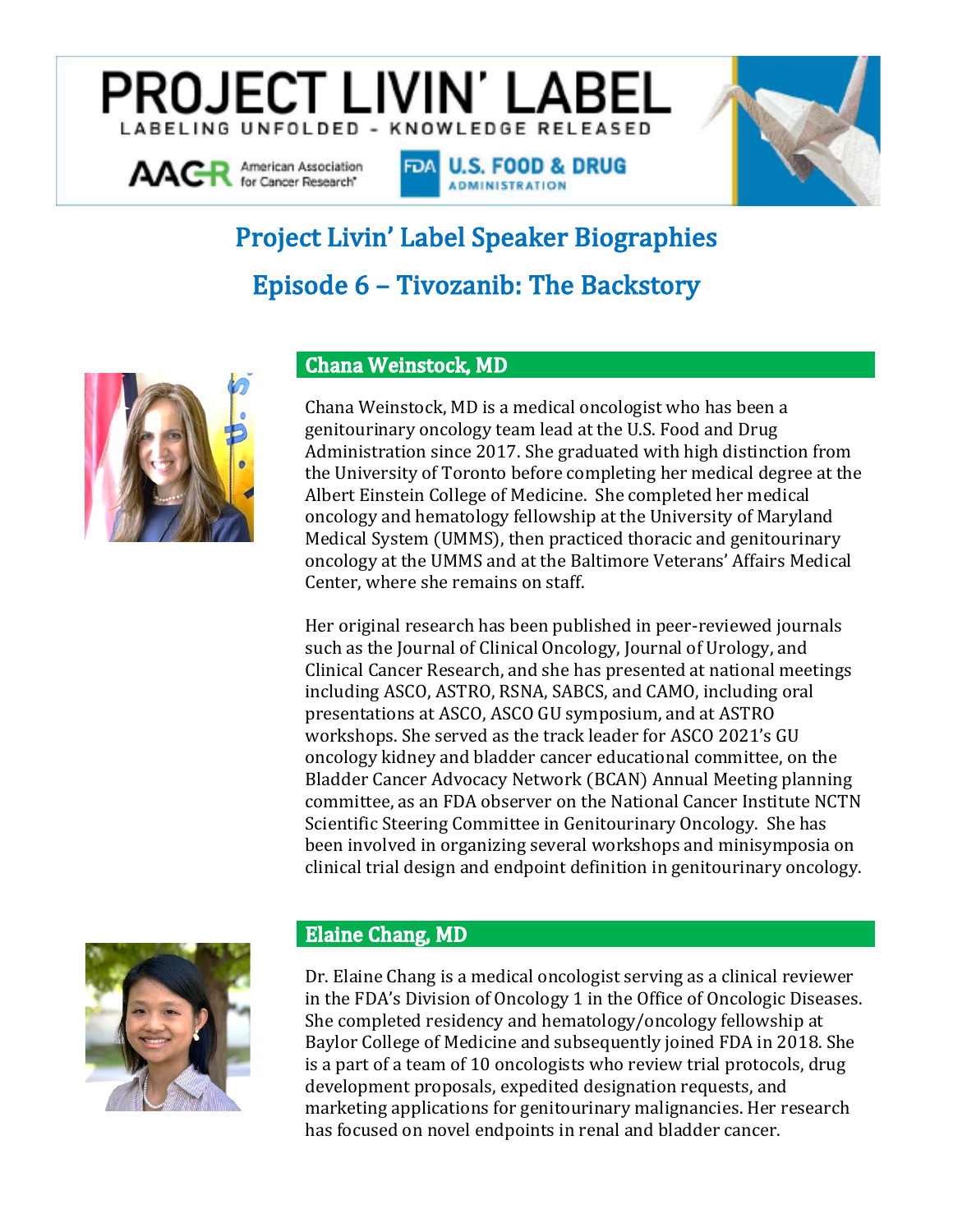## **PROJECT LIVIN' LABEI** BELING UNFOLDED - KNOWLEDGE RELEASED

FOA U.S. FOOD & DRUG **ADMINISTRATION** 



# **Project Livin' Label Speaker Biographies Episode 6 - Tivozanib: The Backstory**



AACR American Association

#### **Chana Weinstock, MD**

Chana Weinstock, MD is a medical oncologist who has been a genitourinary oncology team lead at the U.S. Food and Drug Administration since 2017. She graduated with high distinction from the University of Toronto before completing her medical degree at the Albert Einstein College of Medicine. She completed her medical oncology and hematology fellowship at the University of Maryland Medical System (UMMS), then practiced thoracic and genitourinary oncology at the UMMS and at the Baltimore Veterans' Affairs Medical Center, where she remains on staff.

Her original research has been published in peer-reviewed journals such as the Journal of Clinical Oncology, Journal of Urology, and Clinical Cancer Research, and she has presented at national meetings including ASCO, ASTRO, RSNA, SABCS, and CAMO, including oral presentations at ASCO, ASCO GU symposium, and at ASTRO workshops. She served as the track leader for ASCO 2021's GU oncology kidney and bladder cancer educational committee, on the Bladder Cancer Advocacy Network (BCAN) Annual Meeting planning committee, as an FDA observer on the National Cancer Institute NCTN Scientific Steering Committee in Genitourinary Oncology. She has been involved in organizing several workshops and minisymposia on clinical trial design and endpoint definition in genitourinary oncology.



#### **Elaine Chang, MD**

Dr. Elaine Chang is a medical oncologist serving as a clinical reviewer in the FDA's Division of Oncology 1 in the Office of Oncologic Diseases. She completed residency and hematology/oncology fellowship at Baylor College of Medicine and subsequently joined FDA in 2018. She is a part of a team of 10 oncologists who review trial protocols, drug development proposals, expedited designation requests, and marketing applications for genitourinary malignancies. Her research has focused on novel endpoints in renal and bladder cancer.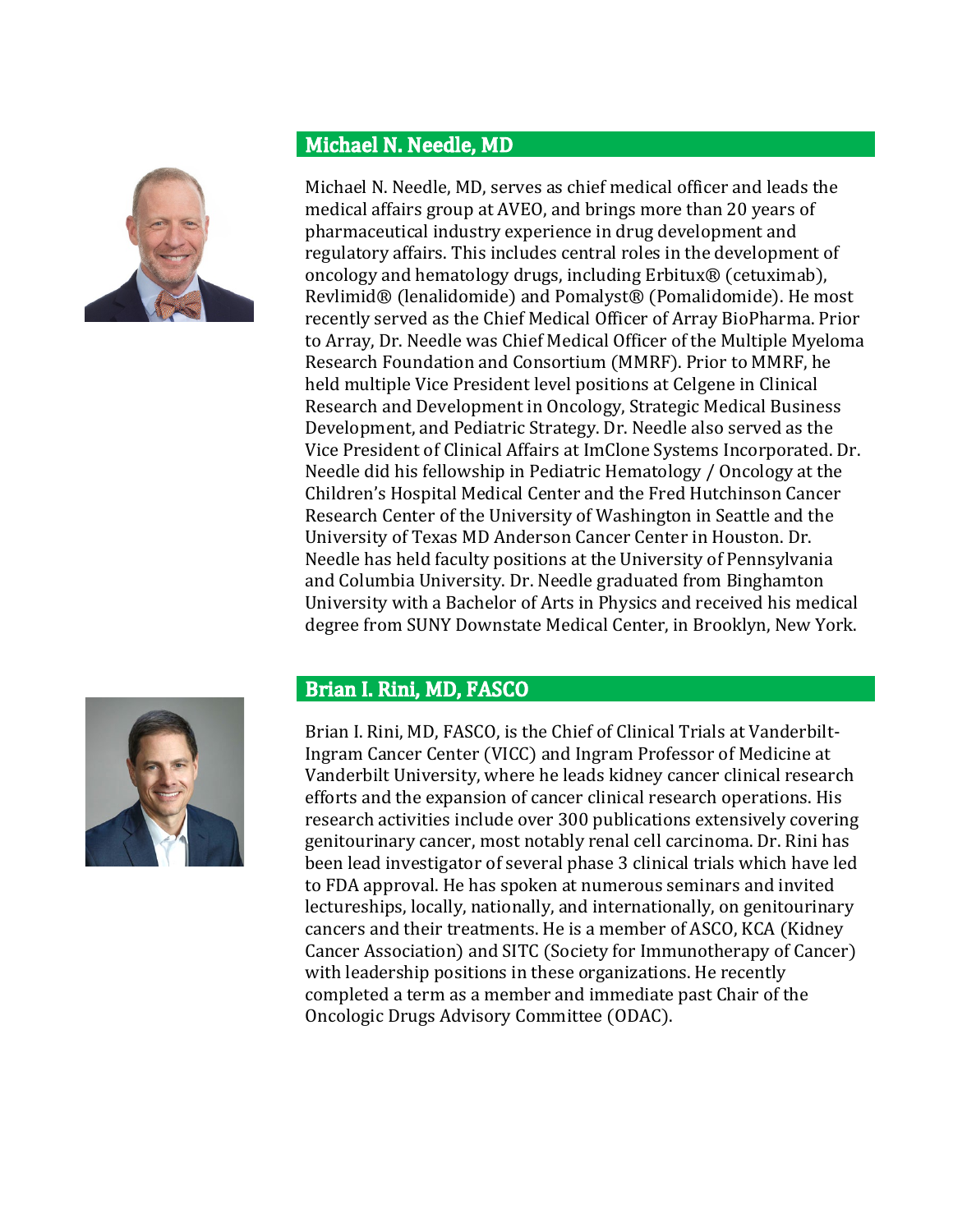

### Michael N. Needle, MD

Michael N. Needle, MD, serves as chief medical officer and leads the medical affairs group at AVEO, and brings more than 20 years of pharmaceutical industry experience in drug development and regulatory affairs. This includes central roles in the development of oncology and hematology drugs, including Erbitux® (cetuximab), Revlimid® (lenalidomide) and Pomalyst® (Pomalidomide). He most recently served as the Chief Medical Officer of Array BioPharma. Prior to Array, Dr. Needle was Chief Medical Officer of the Multiple Myeloma Research Foundation and Consortium (MMRF). Prior to MMRF, he held multiple Vice President level positions at Celgene in Clinical Research and Development in Oncology, Strategic Medical Business Development, and Pediatric Strategy. Dr. Needle also served as the Vice President of Clinical Affairs at ImClone Systems Incorporated. Dr. Needle did his fellowship in Pediatric Hematology / Oncology at the Children's Hospital Medical Center and the Fred Hutchinson Cancer Research Center of the University of Washington in Seattle and the University of Texas MD Anderson Cancer Center in Houston. Dr. Needle has held faculty positions at the University of Pennsylvania and Columbia University. Dr. Needle graduated from Binghamton University with a Bachelor of Arts in Physics and received his medical degree from SUNY Downstate Medical Center, in Brooklyn, New York.

#### Brian I. Rini, MD, FASCO



Brian I. Rini, MD, FASCO, is the Chief of Clinical Trials at Vanderbilt-Ingram Cancer Center (VICC) and Ingram Professor of Medicine at Vanderbilt University, where he leads kidney cancer clinical research efforts and the expansion of cancer clinical research operations. His research activities include over 300 publications extensively covering genitourinary cancer, most notably renal cell carcinoma. Dr. Rini has been lead investigator of several phase 3 clinical trials which have led to FDA approval. He has spoken at numerous seminars and invited lectureships, locally, nationally, and internationally, on genitourinary cancers and their treatments. He is a member of ASCO, KCA (Kidney Cancer Association) and SITC (Society for Immunotherapy of Cancer) with leadership positions in these organizations. He recently completed a term as a member and immediate past Chair of the Oncologic Drugs Advisory Committee (ODAC).